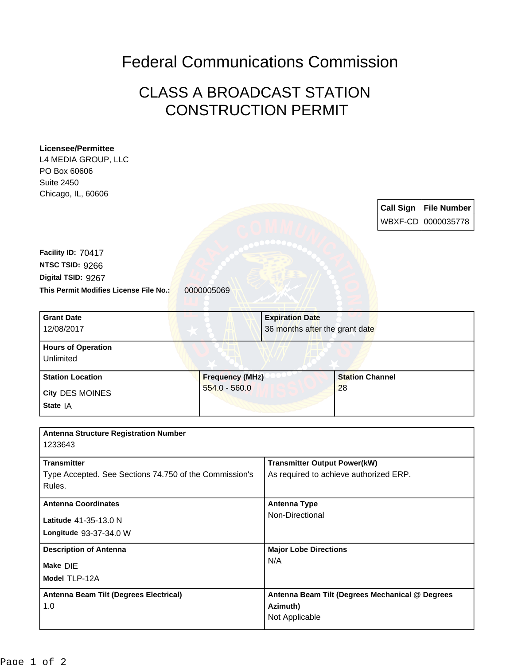## Federal Communications Commission

## CLASS A BROADCAST STATION CONSTRUCTION PERMIT

| <b>Licensee/Permittee</b>                              |                        |                                                             |                              |                  |                    |
|--------------------------------------------------------|------------------------|-------------------------------------------------------------|------------------------------|------------------|--------------------|
| L4 MEDIA GROUP, LLC                                    |                        |                                                             |                              |                  |                    |
| PO Box 60606                                           |                        |                                                             |                              |                  |                    |
| <b>Suite 2450</b>                                      |                        |                                                             |                              |                  |                    |
| Chicago, IL, 60606                                     |                        |                                                             |                              |                  |                    |
|                                                        |                        |                                                             |                              | <b>Call Sign</b> | <b>File Number</b> |
|                                                        |                        |                                                             |                              |                  | WBXF-CD 0000035778 |
|                                                        |                        |                                                             |                              |                  |                    |
|                                                        |                        |                                                             |                              |                  |                    |
| Facility ID: 70417                                     |                        |                                                             |                              |                  |                    |
| NTSC TSID: 9266                                        |                        |                                                             |                              |                  |                    |
| Digital TSID: 9267                                     |                        |                                                             |                              |                  |                    |
| This Permit Modifies License File No.:                 | 0000005069             |                                                             |                              |                  |                    |
|                                                        |                        |                                                             |                              |                  |                    |
| <b>Grant Date</b>                                      |                        | <b>Expiration Date</b>                                      |                              |                  |                    |
| 12/08/2017                                             |                        | 36 months after the grant date                              |                              |                  |                    |
|                                                        |                        |                                                             |                              |                  |                    |
| <b>Hours of Operation</b>                              |                        |                                                             |                              |                  |                    |
| Unlimited                                              |                        |                                                             |                              |                  |                    |
| <b>Station Location</b>                                | <b>Frequency (MHz)</b> |                                                             | <b>Station Channel</b><br>28 |                  |                    |
|                                                        | $554.0 - 560.0$        |                                                             |                              |                  |                    |
| City DES MOINES                                        |                        |                                                             |                              |                  |                    |
| State IA                                               |                        |                                                             |                              |                  |                    |
|                                                        |                        |                                                             |                              |                  |                    |
| <b>Antenna Structure Registration Number</b>           |                        |                                                             |                              |                  |                    |
| 1233643                                                |                        |                                                             |                              |                  |                    |
| <b>Transmitter</b>                                     |                        | <b>Transmitter Output Power(kW)</b>                         |                              |                  |                    |
| Type Accepted. See Sections 74.750 of the Commission's |                        | As required to achieve authorized ERP.                      |                              |                  |                    |
| Rules.                                                 |                        |                                                             |                              |                  |                    |
|                                                        |                        |                                                             |                              |                  |                    |
| <b>Antenna Coordinates</b>                             |                        | <b>Antenna Type</b>                                         |                              |                  |                    |
| Latitude 41-35-13.0 N                                  |                        | Non-Directional                                             |                              |                  |                    |
| Longitude 93-37-34.0 W                                 |                        |                                                             |                              |                  |                    |
|                                                        |                        |                                                             |                              |                  |                    |
| <b>Description of Antenna</b><br>Make DIE              |                        | <b>Major Lobe Directions</b><br>N/A                         |                              |                  |                    |
|                                                        |                        |                                                             |                              |                  |                    |
| Model TLP-12A                                          |                        |                                                             |                              |                  |                    |
| <b>Antenna Beam Tilt (Degrees Electrical)</b>          |                        |                                                             |                              |                  |                    |
| 1.0                                                    |                        | Antenna Beam Tilt (Degrees Mechanical @ Degrees<br>Azimuth) |                              |                  |                    |
|                                                        |                        |                                                             | Not Applicable               |                  |                    |
|                                                        |                        |                                                             |                              |                  |                    |